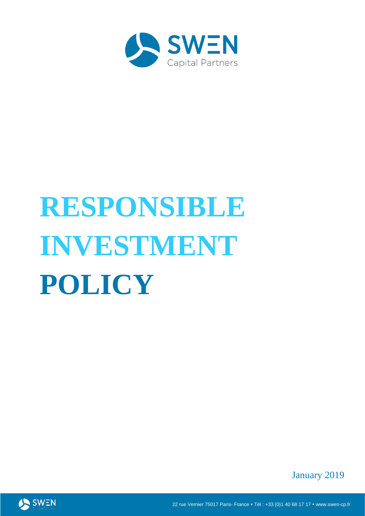

# **RESPONSIBLE INVESTMENT POLICY**

January 2019



22 rue Vernier 75017 Paris- France • Tél : +33 (0)1 40 68 17 17 • www.swen-cp.fr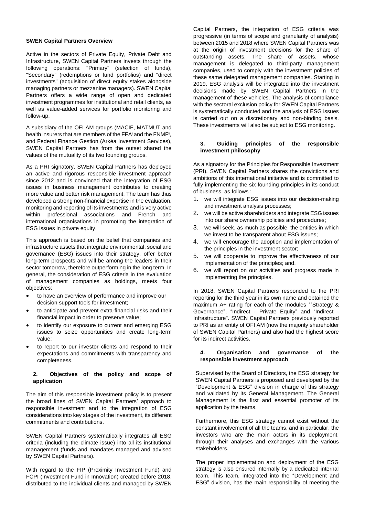#### **SWEN Capital Partners Overview**

Active in the sectors of Private Equity, Private Debt and Infrastructure, SWEN Capital Partners invests through the following operations: "Primary" (selection of funds), "Secondary" (redemptions or fund portfolios) and "direct investments" (acquisition of direct equity stakes alongside managing partners or mezzanine managers). SWEN Capital Partners offers a wide range of open and dedicated investment programmes for institutional and retail clients, as well as value-added services for portfolio monitoring and follow-up.

A subsidiary of the OFI AM groups (MACIF, MATMUT and health insurers that are members of the FFA<sup>i</sup> and the FNMF<sup>ii</sup>, and Federal Finance Gestion (Arkéa Investment Services), SWEN Capital Partners has from the outset shared the values of the mutuality of its two founding groups.

As a PRI signatory, SWEN Capital Partners has deployed an active and rigorous responsible investment approach since 2012 and is convinced that the integration of ESG issues in business management contributes to creating more value and better risk management. The team has thus developed a strong non-financial expertise in the evaluation, monitoring and reporting of its investments and is very active within professional associations and French and international organisations in promoting the integration of ESG issues in private equity.

This approach is based on the belief that companies and infrastructure assets that integrate environmental, social and governance (ESG) issues into their strategy, offer better long-term prospects and will be among the leaders in their sector tomorrow, therefore outperforming in the long term. In general, the consideration of ESG criteria in the evaluation of management companies as holdings, meets four objectives:

- to have an overview of performance and improve our decision support tools for investment;
- to anticipate and prevent extra-financial risks and their financial impact in order to preserve value;
- to identify our exposure to current and emerging ESG issues to seize opportunities and create long-term value;
- to report to our investor clients and respond to their expectations and commitments with transparency and completeness.

#### **2. Objectives of the policy and scope of application**

The aim of this responsible investment policy is to present the broad lines of SWEN Capital Partners' approach to responsible investment and to the integration of ESG considerations into key stages of the investment, its different commitments and contributions.

SWEN Capital Partners systematically integrates all ESG criteria (including the climate issue) into all its institutional management (funds and mandates managed and advised by SWEN Capital Partners).

With regard to the FIP (Proximity Investment Fund) and FCPI (Investment Fund in Innovation) created before 2018, distributed to the individual clients and managed by SWEN Capital Partners, the integration of ESG criteria was progressive (in terms of scope and granularity of analysis) between 2015 and 2018 where SWEN Capital Partners was at the origin of investment decisions for the share of outstanding assets. The share of assets, whose management is delegated to third-party management companies, used to comply with the investment policies of these same delegated management companies. Starting in 2019, ESG analysis will be integrated into the investment decisions made by SWEN Capital Partners in the management of these vehicles. The analysis of compliance with the sectoral exclusion policy for SWEN Capital Partners is systematically conducted and the analysis of ESG issues is carried out on a discretionary and non-binding basis. These investments will also be subject to ESG monitoring.

# **3. Guiding principles of the responsible investment philosophy**

As a signatory for the Principles for Responsible Investment (PRI), SWEN Capital Partners shares the convictions and ambitions of this international initiative and is committed to fully implementing the six founding principles in its conduct of business, as follows :

- we will integrate ESG issues into our decision-making and investment analysis processes;
- 2. we will be active shareholders and integrate ESG issues into our share ownership policies and procedures;
- 3. we will seek, as much as possible, the entities in which we invest to be transparent about ESG issues;
- 4. we will encourage the adoption and implementation of the principles in the investment sector;
- 5. we will cooperate to improve the effectiveness of our implementation of the principles; and,
- 6. we will report on our activities and progress made in implementing the principles.

In 2018, SWEN Capital Partners responded to the PRI reporting for the third year in its own name and obtained the maximum A+ rating for each of the modules ""Strategy & Governance", "Indirect - Private Equity" and "Indirect - Infrastructure". SWEN Capital Partners previously reported to PRI as an entity of OFI AM (now the majority shareholder of SWEN Capital Partners) and also had the highest score for its indirect activities.

# **4. Organisation and governance of the responsible investment approach**

Supervised by the Board of Directors, the ESG strategy for SWEN Capital Partners is proposed and developed by the "Development & ESG" division in charge of this strategy and validated by its General Management. The General Management is the first and essential promoter of its application by the teams.

Furthermore, this ESG strategy cannot exist without the constant involvement of all the teams, and in particular, the investors who are the main actors in its deployment, through their analyses and exchanges with the various stakeholders.

The proper implementation and deployment of the ESG strategy is also ensured internally by a dedicated internal team. This team, integrated into the "Development and ESG" division, has the main responsibility of meeting the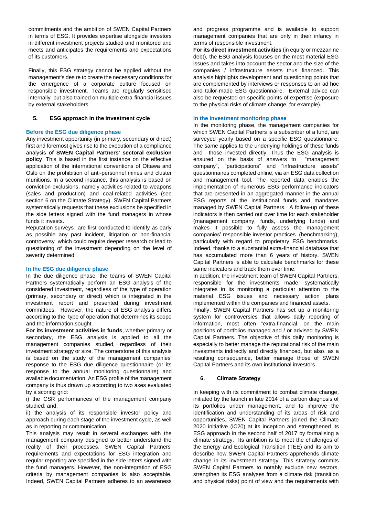commitments and the ambition of SWEN Capital Partners in terms of ESG. It provides expertise alongside investors in different investment projects studied and monitored and meets and anticipates the requirements and expectations of its customers.

Finally, this ESG strategy cannot be applied without the management's desire to create the necessary conditions for the emergence of a corporate culture focused on responsible investment. Teams are regularly sensitised internally but also trained on multiple extra-financial issues by external stakeholders.

# **5. ESG approach in the investment cycle**

# **Before the ESG due diligence phase**

Any investment opportunity (in primary, secondary or direct) first and foremost gives rise to the execution of a compliance analysis **of SWEN Capital Partners' sectoral exclusion policy**. This is based in the first instance on the effective application of the international conventions of Ottawa and Oslo on the prohibition of anti-personnel mines and cluster munitions. In a second instance, this analysis is based on conviction exclusions, namely activities related to weapons (sales and production) and coal-related activities (see section 6 on the Climate Strategy). SWEN Capital Partners systematically requests that these exclusions be specified in the side letters signed with the fund managers in whose funds it invests.

Reputation surveys are first conducted to identify as early as possible any past incident, litigation or non-financial controversy which could require deeper research or lead to questioning of the investment depending on the level of severity determined.

# **In the ESG due diligence phase**

In the due diligence phase, the teams of SWEN Capital Partners systematically perform an ESG analysis of the considered investment, regardless of the type of operation (primary, secondary or direct) which is integrated in the investment report and presented during investment committees. However, the nature of ESG analysis differs according to the type of operation that determines its scope and the information sought.

**For its investment activities in funds**, whether primary or secondary, the ESG analysis is applied to all the management companies studied, regardless of their investment strategy or size. The cornerstone of this analysis is based on the study of the management companies' response to the ESG due diligence questionnaire (or its response to the annual monitoring questionnaire) and available documentation. An ESG profile of the management company is thus drawn up according to two axes evaluated by a scoring grid:

i) the CSR performances of the management company studied; and,

ii) the analysis of its responsible investor policy and approach during each stage of the investment cycle, as well as in reporting or communication.

This analysis may result in several exchanges with the management company designed to better understand the reality of their processes. SWEN Capital Partners' requirements and expectations for ESG integration and regular reporting are specified in the side letters signed with the fund managers. However, the non-integration of ESG criteria by management companies is also acceptable. Indeed, SWEN Capital Partners adheres to an awareness and progress programme and is available to support management companies that are only in their infancy in terms of responsible investment.

**For its direct investment activities** (in equity or mezzanine debt), the ESG analysis focuses on the most material ESG issues and takes into account the sector and the size of the companies / infrastructure assets thus financed. This analysis highlights development and questioning points that are complemented by interviews or responses to an ad hoc and tailor-made ESG questionnaire. External advice can also be requested on specific points of expertise (exposure to the physical risks of climate change, for example).

#### **In the investment monitoring phase**

In the monitoring phase, the management companies for which SWEN Capital Partners is a subscriber of a fund, are surveyed yearly based on a specific ESG questionnaire. The same applies to the underlying holdings of these funds and those invested directly. Thus the ESG analysis is ensured on the basis of answers to "management company", "participations" and "infrastructure assets" questionnaires completed online, via an ESG data collection and management tool. The reported data enables the implementation of numerous ESG performance indicators that are presented in an aggregated manner in the annual ESG reports of the institutional funds and mandates managed by SWEN Capital Partners. A follow-up of these indicators is then carried out over time for each stakeholder (management company, funds, underlying funds) and makes it possible to fully assess the management companies' responsible investor practices (benchmarking), particularly with regard to proprietary ESG benchmarks. Indeed, thanks to a substantial extra-financial database that has accumulated more than 6 years of history, SWEN Capital Partners is able to calculate benchmarks for these same indicators and track them over time.

In addition, the investment team of SWEN Capital Partners, responsible for the investments made, systematically integrates in its monitoring a particular attention to the material ESG issues and necessary action plans implemented within the companies and financed assets.

Finally, SWEN Capital Partners has set up a monitoring system for controversies that allows daily reporting of information, most often "extra-financial, on the main positions of portfolios managed and / or advised by SWEN Capital Partners. The objective of this daily monitoring is especially to better manage the reputational risk of the main investments indirectly and directly financed, but also, as a resulting consequence, better manage those of SWEN Capital Partners and its own institutional investors.

# **6. Climate Strategy**

In keeping with its commitment to combat climate change, initiated by the launch in late 2014 of a carbon diagnosis of its portfolios under management, and to improve the identification and understanding of its areas of risk and opportunities, SWEN Capital Partners joined the Climate 2020 initiative (iC20) at its inception and strengthened its ESG approach in the second half of 2017 by formalising a climate strategy. Its ambition is to meet the challenges of the Energy and Ecological Transition (TEE) and its aim to describe how SWEN Capital Partners apprehends climate change in its investment strategy. This strategy commits SWEN Capital Partners to notably exclude new sectors, strengthen its ESG analyses from a climate risk (transition and physical risks) point of view and the requirements with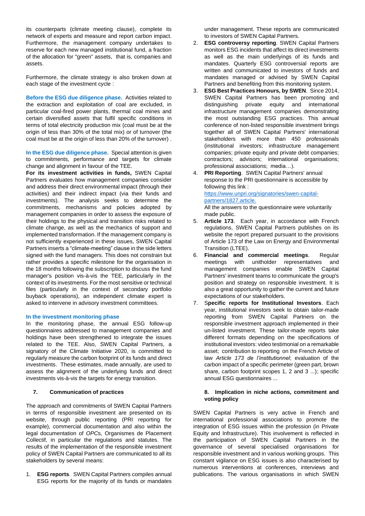its counterparts (climate meeting clause), complete its network of experts and measure and report carbon impact. Furthermore, the management company undertakes to reserve for each new managed institutional fund, a fraction of the allocation for "green" assets, that is, companies and assets.

Furthermore, the climate strategy is also broken down at each stage of the investment cycle :

**Before the ESG due diligence phase.** Activities related to the extraction and exploitation of coal are excluded, in particular coal-fired power plants, thermal coal mines and certain diversified assets that fulfil specific conditions in terms of total electricity production mix (coal must be at the origin of less than 30% of the total mix) or of turnover (the coal must be at the origin of less than 20% of the turnover) .

**In the ESG due diligence phase.** Special attention is given to commitments, performance and targets for climate change and alignment in favour of the TEE.

**For its investment activities in funds,** SWEN Capital Partners evaluates how management companies consider and address their direct environmental impact (through their activities) and their indirect impact (via their funds and investments). The analysis seeks to determine the commitments, mechanisms and policies adopted by management companies in order to assess the exposure of their holdings to the physical and transition risks related to climate change, as well as the mechanics of support and implemented transformation. If the management company is not sufficiently experienced in these issues, SWEN Capital Partners inserts a "climate-meeting" clause in the side letters signed with the fund managers. This does not constrain but rather provides a specific milestone for the organisation in the 18 months following the subscription to discuss the fund manager's position vis-à-vis the TEE, particularly in the context of its investments. For the most sensitive or technical files (particularly in the context of secondary portfolio buyback operations), an independent climate expert is asked to intervene in advisory investment committees.

#### **In the investment monitoring phase**

In the monitoring phase, the annual ESG follow-up questionnaires addressed to management companies and holdings have been strengthened to integrate the issues related to the TEE. Also, SWEN Capital Partners, a signatory of the Climate Initiative 2020, is committed to regularly measure the carbon footprint of its funds and direct investments. These estimates, made annually, are used to assess the alignment of the underlying funds and direct investments vis-à-vis the targets for energy transition.

# **7. Communication of practices**

The approach and commitments of SWEN Capital Partners in terms of responsible investment are presented on its website, through public reporting (PRI reporting for example), commercial documentation and also within the legal documentation of *OPC*s, Organismes de Placement Collectif, in particular the regulations and statutes. The results of the implementation of the responsible investment policy of SWEN Capital Partners are communicated to all its stakeholders by several means:

1. **ESG reports**. SWEN Capital Partners compiles annual ESG reports for the majority of its funds or mandates under management. These reports are communicated to investors of SWEN Capital Partners.

- 2. **ESG controversy reporting**. SWEN Capital Partners monitors ESG incidents that affect its direct investments as well as the main underlyings of its funds and mandates. Quarterly ESG controversial reports are written and communicated to investors of funds and mandates managed or advised by SWEN Capital Partners and benefiting from this monitoring system.
- 3. **ESG Best Practices Honours, by SWEN**. Since 2014, SWEN Capital Partners has been promoting and distinguishing private equity and international infrastructure management companies demonstrating the most outstanding ESG practices. This annual conference of non-listed responsible investment brings together all of SWEN Capital Partners' international stakeholders with more than 450 professionals (institutional investors; infrastructure management companies; private equity and private debt companies; contractors; advisors; international organisations; professional associations; media…).
- 4. **PRI Reporting**. SWEN Capital Partners' annual response to the PRI questionnaire is accessible by following this link :

[https://www.unpri.org/signatories/swen-capital](https://translate.google.com/translate?hl=fr&prev=_t&sl=fr&tl=en&u=https://www.unpri.org/signatories/swen-capital-partners/1827.article)[partners/1827.article.](https://translate.google.com/translate?hl=fr&prev=_t&sl=fr&tl=en&u=https://www.unpri.org/signatories/swen-capital-partners/1827.article)

All the answers to the questionnaire were voluntarily made public.

- 5. **Article 173**. Each year, in accordance with French regulations, SWEN Capital Partners publishes on its website the report prepared pursuant to the provisions of Article 173 of the Law on Energy and Environmental Transition (LTEE).
- 6. **Financial and commercial meetings**. Regular meetings with unitholder representatives and management companies enable SWEN Capital Partners' investment teams to communicate the group's position and strategy on responsible investment. It is also a great opportunity to gather the current and future expectations of our stakeholders.
- 7. S**pecific reports for Institutional Investors**. Each year, institutional investors seek to obtain tailor-made reporting from SWEN Capital Partners on the responsible investment approach implemented in their un-listed investment. These tailor-made reports take different formats depending on the specifications of institutional investors: video testimonial on a remarkable asset; contribution to reporting on the French Article of law *Article 173 de l'institutionnel*; evaluation of the carbon impact of a specific perimeter (green part, brown share, carbon footprint scopes 1, 2 and 3 ...); specific annual ESG questionnaires ...

#### **8. Implication in niche actions, commitment and voting policy**

SWEN Capital Partners is very active in French and international professional associations to promote the integration of ESG issues within the profession (in Private Equity and Infrastructure). This involvement is reflected in the participation of SWEN Capital Partners in the governance of several specialised organisations for responsible investment and in various working groups. This constant vigilance on ESG issues is also characterised by numerous interventions at conferences, interviews and publications. The various organisations in which SWEN